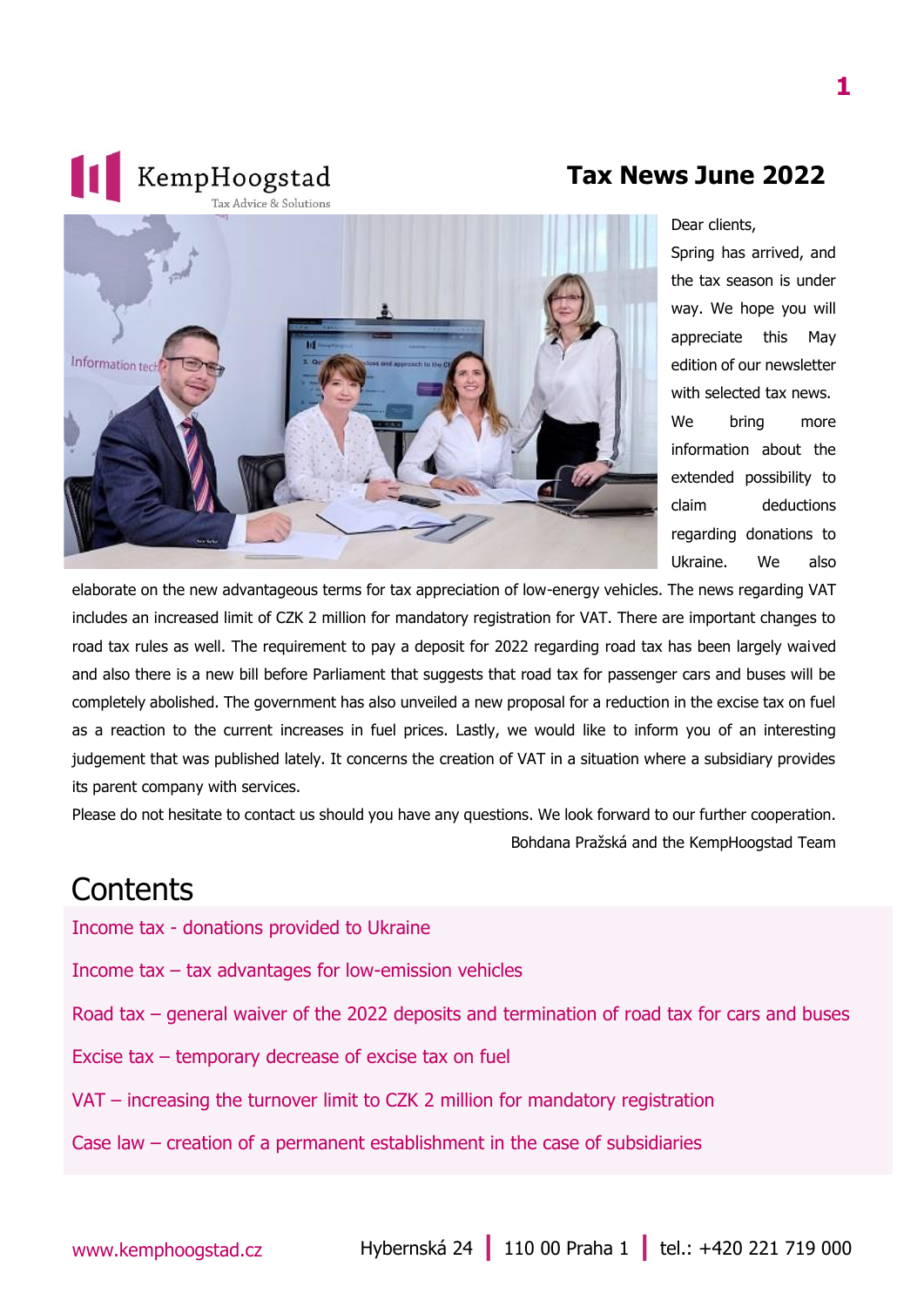#### **Tax News June 2022**



Dear clients,

Spring has arrived, and the tax season is under way. We hope you will appreciate this May edition of our newsletter with selected tax news. We bring more information about the extended possibility to claim deductions regarding donations to Ukraine. We also

elaborate on the new advantageous terms for tax appreciation of low-energy vehicles. The news regarding VAT includes an increased limit of CZK 2 million for mandatory registration for VAT. There are important changes to road tax rules as well. The requirement to pay a deposit for 2022 regarding road tax has been largely waived and also there is a new bill before Parliament that suggests that road tax for passenger cars and buses will be completely abolished. The government has also unveiled a new proposal for a reduction in the excise tax on fuel as a reaction to the current increases in fuel prices. Lastly, we would like to inform you of an interesting judgement that was published lately. It concerns the creation of VAT in a situation where a subsidiary provides its parent company with services.

Please do not hesitate to contact us should you have any questions. We look forward to our further cooperation. Bohdana Pražská and the KempHoogstad Team

#### **Contents**

Income tax - [donations provided to Ukraine](#page-1-0)

**1** KempHoogstad

- Income tax [tax advantages for low-emission vehicles](#page-2-0)
- Road tax general waiver of the 2022 deposits and [termination of road tax for cars and buses](#page-2-1)
- Excise tax [temporary decrease of excise tax on fuel](#page-3-0)
- VAT [increasing the turnover limit to CZK 2 million for mandatory registration](#page-3-1)
- Case law [creation of a permanent establishment in the case of subsidiaries](#page-3-2)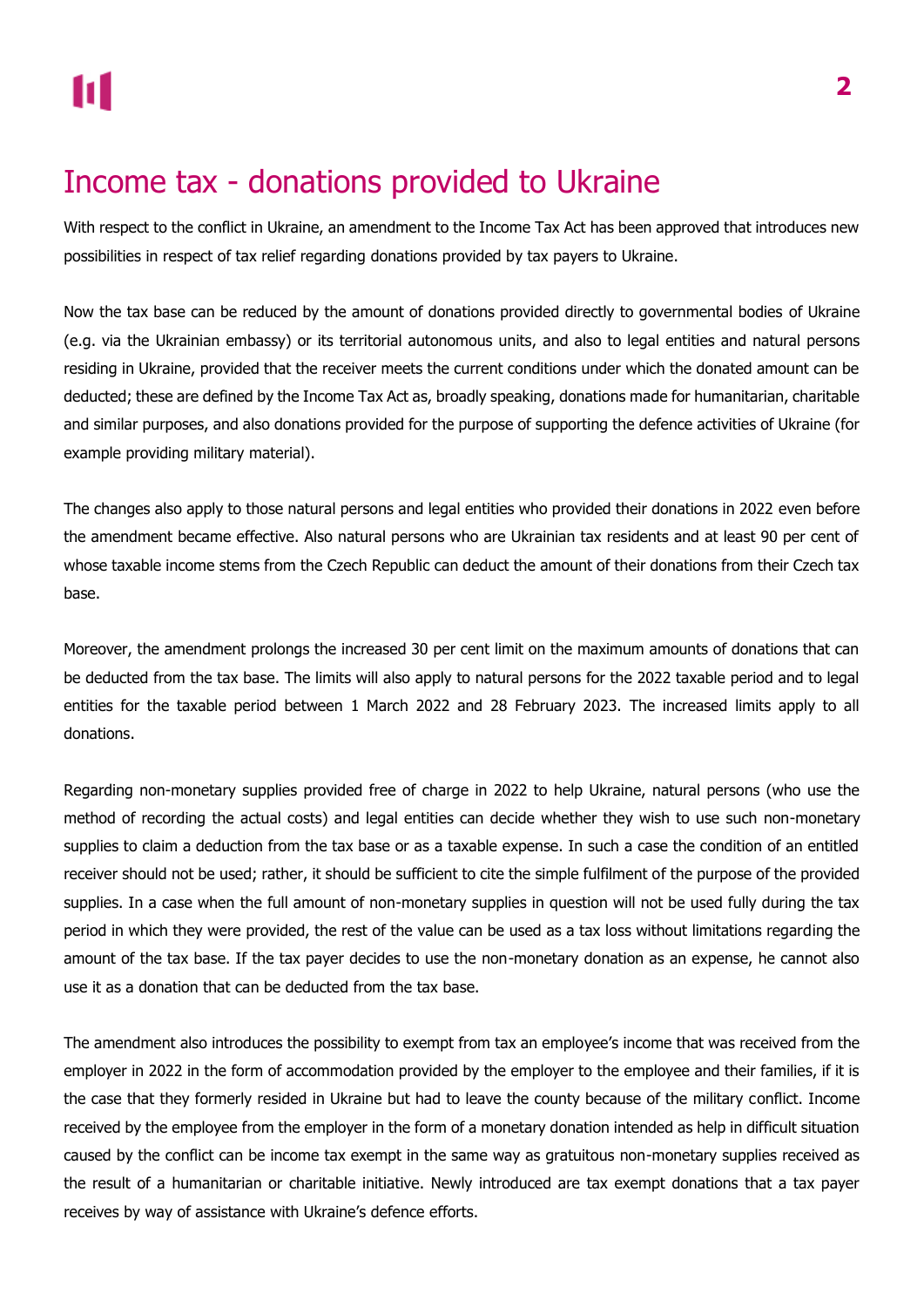## <span id="page-1-0"></span>Income tax - donations provided to Ukraine

With respect to the conflict in Ukraine, an amendment to the Income Tax Act has been approved that introduces new possibilities in respect of tax relief regarding donations provided by tax payers to Ukraine.

Now the tax base can be reduced by the amount of donations provided directly to governmental bodies of Ukraine (e.g. via the Ukrainian embassy) or its territorial autonomous units, and also to legal entities and natural persons residing in Ukraine, provided that the receiver meets the current conditions under which the donated amount can be deducted; these are defined by the Income Tax Act as, broadly speaking, donations made for humanitarian, charitable and similar purposes, and also donations provided for the purpose of supporting the defence activities of Ukraine (for example providing military material).

The changes also apply to those natural persons and legal entities who provided their donations in 2022 even before the amendment became effective. Also natural persons who are Ukrainian tax residents and at least 90 per cent of whose taxable income stems from the Czech Republic can deduct the amount of their donations from their Czech tax base.

Moreover, the amendment prolongs the increased 30 per cent limit on the maximum amounts of donations that can be deducted from the tax base. The limits will also apply to natural persons for the 2022 taxable period and to legal entities for the taxable period between 1 March 2022 and 28 February 2023. The increased limits apply to all donations.

Regarding non-monetary supplies provided free of charge in 2022 to help Ukraine, natural persons (who use the method of recording the actual costs) and legal entities can decide whether they wish to use such non-monetary supplies to claim a deduction from the tax base or as a taxable expense. In such a case the condition of an entitled receiver should not be used; rather, it should be sufficient to cite the simple fulfilment of the purpose of the provided supplies. In a case when the full amount of non-monetary supplies in question will not be used fully during the tax period in which they were provided, the rest of the value can be used as a tax loss without limitations regarding the amount of the tax base. If the tax payer decides to use the non-monetary donation as an expense, he cannot also use it as a donation that can be deducted from the tax base.

The amendment also introduces the possibility to exempt from tax an employee's income that was received from the employer in 2022 in the form of accommodation provided by the employer to the employee and their families, if it is the case that they formerly resided in Ukraine but had to leave the county because of the military conflict. Income received by the employee from the employer in the form of a monetary donation intended as help in difficult situation caused by the conflict can be income tax exempt in the same way as gratuitous non-monetary supplies received as the result of a humanitarian or charitable initiative. Newly introduced are tax exempt donations that a tax payer receives by way of assistance with Ukraine's defence efforts.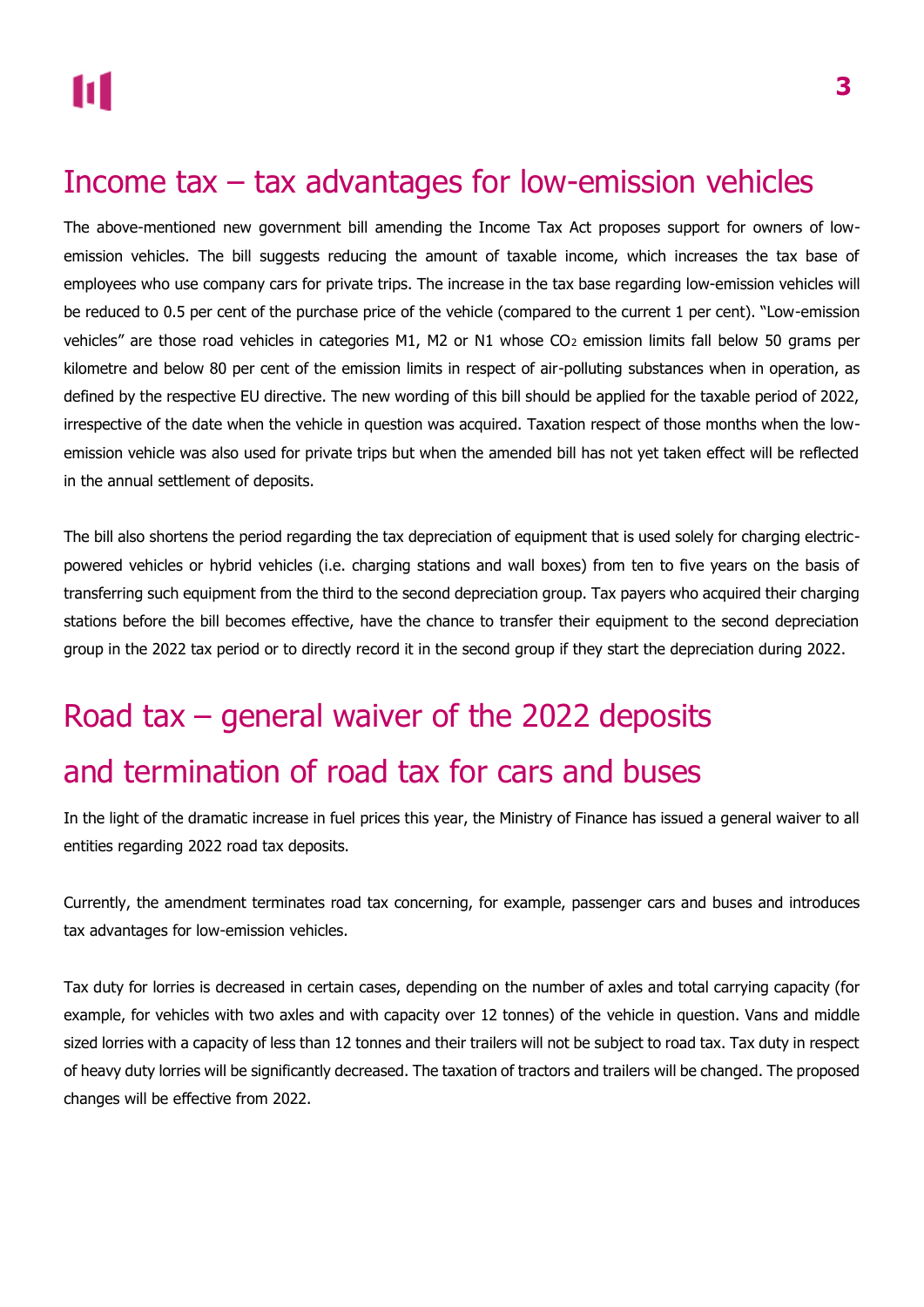### <span id="page-2-0"></span>Income tax – tax advantages for low-emission vehicles

The above-mentioned new government bill amending the Income Tax Act proposes support for owners of lowemission vehicles. The bill suggests reducing the amount of taxable income, which increases the tax base of employees who use company cars for private trips. The increase in the tax base regarding low-emission vehicles will be reduced to 0.5 per cent of the purchase price of the vehicle (compared to the current 1 per cent). "Low-emission vehicles" are those road vehicles in categories M1, M2 or N1 whose CO<sub>2</sub> emission limits fall below 50 grams per kilometre and below 80 per cent of the emission limits in respect of air-polluting substances when in operation, as defined by the respective EU directive. The new wording of this bill should be applied for the taxable period of 2022, irrespective of the date when the vehicle in question was acquired. Taxation respect of those months when the lowemission vehicle was also used for private trips but when the amended bill has not yet taken effect will be reflected in the annual settlement of deposits.

The bill also shortens the period regarding the tax depreciation of equipment that is used solely for charging electricpowered vehicles or hybrid vehicles (i.e. charging stations and wall boxes) from ten to five years on the basis of transferring such equipment from the third to the second depreciation group. Tax payers who acquired their charging stations before the bill becomes effective, have the chance to transfer their equipment to the second depreciation group in the 2022 tax period or to directly record it in the second group if they start the depreciation during 2022.

# <span id="page-2-1"></span>Road tax – general waiver of the 2022 deposits and termination of road tax for cars and buses

In the light of the dramatic increase in fuel prices this year, the Ministry of Finance has issued a general waiver to all entities regarding 2022 road tax deposits.

Currently, the amendment terminates road tax concerning, for example, passenger cars and buses and introduces tax advantages for low-emission vehicles.

Tax duty for lorries is decreased in certain cases, depending on the number of axles and total carrying capacity (for example, for vehicles with two axles and with capacity over 12 tonnes) of the vehicle in question. Vans and middle sized lorries with a capacity of less than 12 tonnes and their trailers will not be subject to road tax. Tax duty in respect of heavy duty lorries will be significantly decreased. The taxation of tractors and trailers will be changed. The proposed changes will be effective from 2022.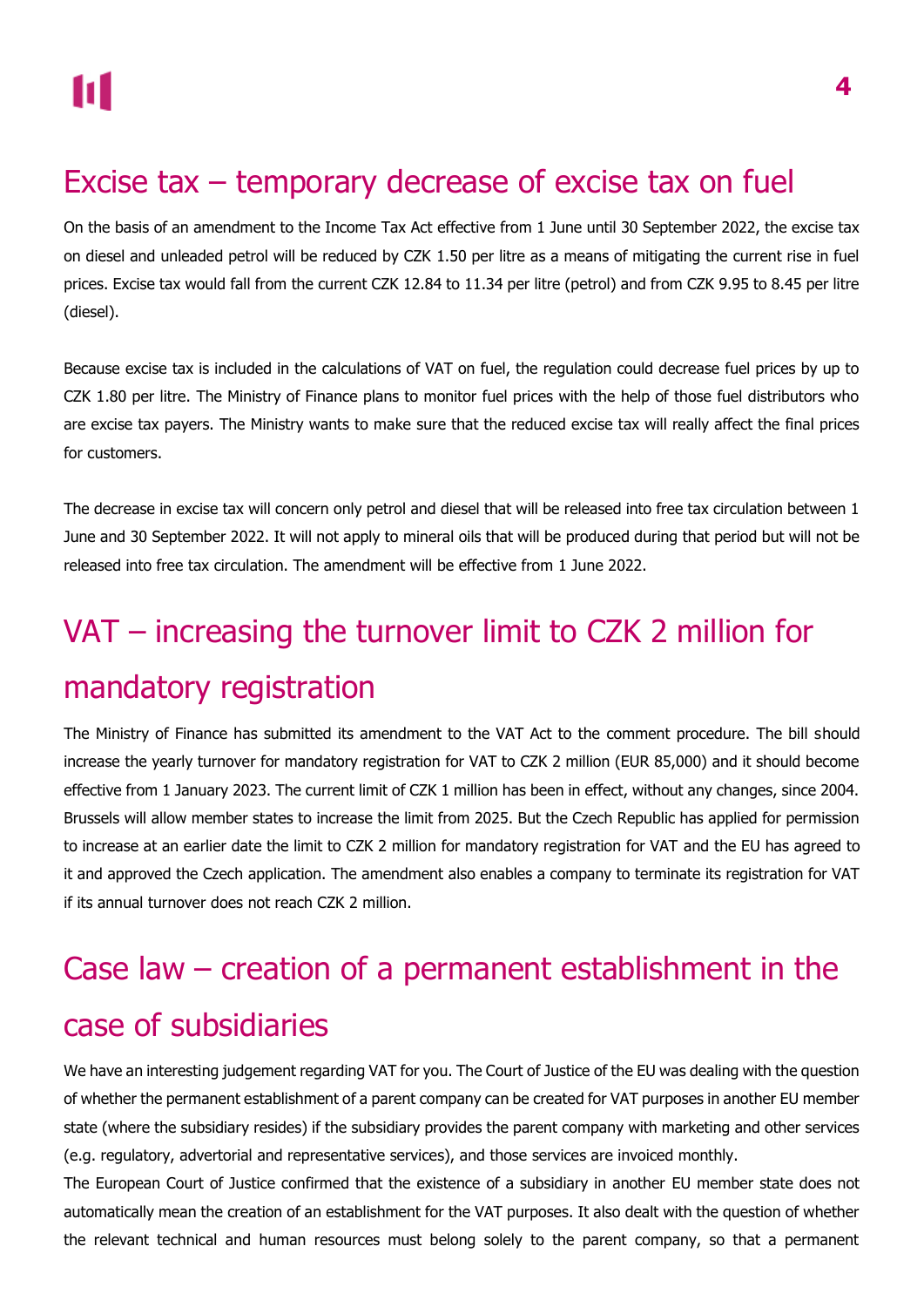## <span id="page-3-0"></span>Excise tax – temporary decrease of excise tax on fuel

On the basis of an amendment to the Income Tax Act effective from 1 June until 30 September 2022, the excise tax on diesel and unleaded petrol will be reduced by CZK 1.50 per litre as a means of mitigating the current rise in fuel prices. Excise tax would fall from the current CZK 12.84 to 11.34 per litre (petrol) and from CZK 9.95 to 8.45 per litre (diesel).

Because excise tax is included in the calculations of VAT on fuel, the regulation could decrease fuel prices by up to CZK 1.80 per litre. The Ministry of Finance plans to monitor fuel prices with the help of those fuel distributors who are excise tax payers. The Ministry wants to make sure that the reduced excise tax will really affect the final prices for customers.

The decrease in excise tax will concern only petrol and diesel that will be released into free tax circulation between 1 June and 30 September 2022. It will not apply to mineral oils that will be produced during that period but will not be released into free tax circulation. The amendment will be effective from 1 June 2022.

# <span id="page-3-1"></span>VAT – increasing the turnover limit to CZK 2 million for mandatory registration

The Ministry of Finance has submitted its amendment to the VAT Act to the comment procedure. The bill should increase the yearly turnover for mandatory registration for VAT to CZK 2 million (EUR 85,000) and it should become effective from 1 January 2023. The current limit of CZK 1 million has been in effect, without any changes, since 2004. Brussels will allow member states to increase the limit from 2025. But the Czech Republic has applied for permission to increase at an earlier date the limit to CZK 2 million for mandatory registration for VAT and the EU has agreed to it and approved the Czech application. The amendment also enables a company to terminate its registration for VAT if its annual turnover does not reach CZK 2 million.

## <span id="page-3-2"></span>Case law – creation of a permanent establishment in the case of subsidiaries

We have an interesting judgement regarding VAT for you. The Court of Justice of the EU was dealing with the question of whether the permanent establishment of a parent company can be created for VAT purposes in another EU member state (where the subsidiary resides) if the subsidiary provides the parent company with marketing and other services (e.g. regulatory, advertorial and representative services), and those services are invoiced monthly.

The European Court of Justice confirmed that the existence of a subsidiary in another EU member state does not automatically mean the creation of an establishment for the VAT purposes. It also dealt with the question of whether the relevant technical and human resources must belong solely to the parent company, so that a permanent